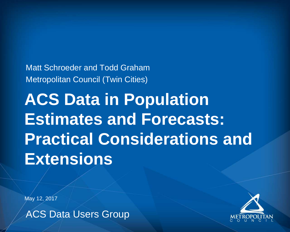Matt Schroeder and Todd Graham Metropolitan Council (Twin Cities)

ACS Data Users Group





**ACS Data in Population Estimates and Forecasts: Practical Considerations and Extensions**

May 12, 2017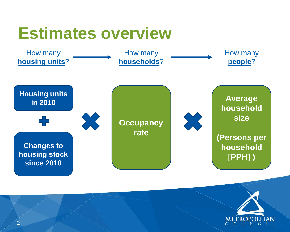#### **Estimates overview**

How many **housing units**?

How many **households**?

#### How many **people**?





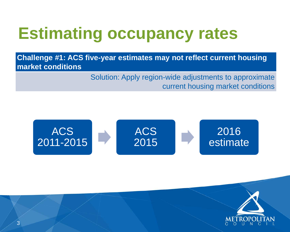





#### 2016 estimate



**Challenge #1: ACS five-year estimates may not reflect current housing market conditions**

Solution: Apply region-wide adjustments to approximate

#### current housing market conditions

### **Estimating occupancy rates**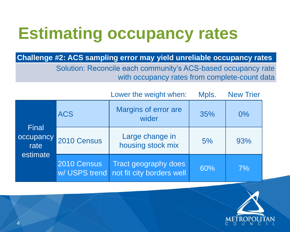





#### **Challenge #2: ACS sampling error may yield unreliable occupancy rates**

Solution: Reconcile each community's ACS-based occupancy rate with occupancy rates from complete-count data

### **Estimating occupancy rates**

|                                        |             | Lower the weight when:                                                   | Mpls. | <b>New Trier</b> |
|----------------------------------------|-------------|--------------------------------------------------------------------------|-------|------------------|
| Final<br>occupancy<br>rate<br>estimate | <b>ACS</b>  | <b>Margins of error are</b><br>wider                                     | 35%   | $0\%$            |
|                                        | 2010 Census | Large change in<br>housing stock mix                                     | 5%    | 93%              |
|                                        | 2010 Census | <b>Tract geography does</b><br>w/ USPS trend   not fit city borders well | 60%   | 7%               |

| Lower the weight when:                                   | Mpls. | <b>New Trier</b> |
|----------------------------------------------------------|-------|------------------|
| <b>Margins of error are</b><br>wider                     | 35%   | $0\%$            |
| Large change in<br>housing stock mix                     | 5%    | 93%              |
| <b>Tract geography does</b><br>not fit city borders well | 60%   | 7%               |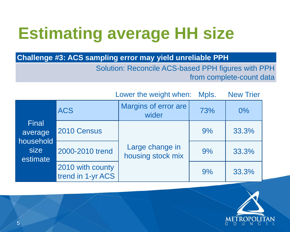



**Challenge #3: ACS sampling error may yield unreliable PPH** Solution: Reconcile ACS-based PPH figures with PPH

#### from complete-count data



## **Estimating average HH size**

Lower the weight when:

|                                                   |                                       | Lower the weight when: Mpls.         |     | <b>New Trier</b> |
|---------------------------------------------------|---------------------------------------|--------------------------------------|-----|------------------|
| Final<br>average<br>household<br>size<br>estimate | <b>ACS</b>                            | Margins of error are<br>wider        | 73% | $0\%$            |
|                                                   | 2010 Census                           |                                      | 9%  | 33.3%            |
|                                                   | 2000-2010 trend                       | Large change in<br>housing stock mix | 9%  | 33.3%            |
|                                                   | 2010 with county<br>trend in 1-yr ACS |                                      | 9%  | 33.3%            |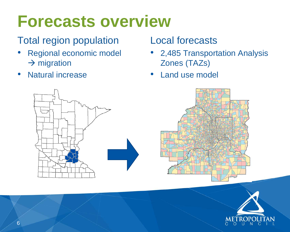### **Forecasts overview**

#### Total region population

- Regional economic model  $\rightarrow$  migration
- Natural increase

# • 2,485 Transportation Analysis



- Local forecasts
- Zones (TAZs)
- Land use model

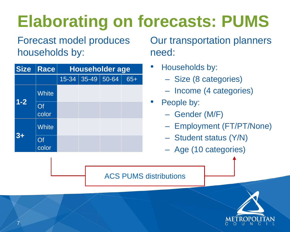# **Elaborating on forecasts: PUMS**

Forecast model produces households by:

| <b>Size</b> | <b>Race</b>  | <b>Householder age</b> |                 |  |       |  |  |
|-------------|--------------|------------------------|-----------------|--|-------|--|--|
|             |              | 15-34                  | $35 - 49$ 50-64 |  | $65+$ |  |  |
| $1 - 2$     | <b>White</b> |                        |                 |  |       |  |  |
|             | Of<br>color  |                        |                 |  |       |  |  |
| $3+$        | <b>White</b> |                        |                 |  |       |  |  |
|             | Of<br>color  |                        |                 |  |       |  |  |

#### Our transportation planners



need:

- Households by: – Size (8 categories) – Income (4 categories)
	-
	-
- People by:
	-
	- Gender (M/F) – Employment (FT/PT/None) – Student status (Y/N) – Age (10 categories)
	-
	-

ACS PUMS distributions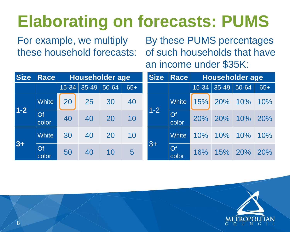## **Elaborating on forecasts: PUMS**

For example, we multiply these household forecasts:

# By these PUMS percentages of such households that have



| <b>Size</b>                              | <b>Race</b>  |         | Householder age |       |       | <b>Size</b> | <b>Race</b>  | Householder age |             |       |       |
|------------------------------------------|--------------|---------|-----------------|-------|-------|-------------|--------------|-----------------|-------------|-------|-------|
|                                          |              | 15-34   | 35-49           | 50-64 | $65+$ |             |              | 15-34           | $ 35 - 49 $ | 50-64 | $65+$ |
|                                          | <b>White</b> | 20      | 25              | 30    | 40    |             | <b>White</b> | 15%             | 20%         | 10%   | 10%   |
| $1 - 2$<br>Of<br>40<br>40<br>20<br>color | 10           | $1 - 2$ | Of<br>color     | 20%   | 20%   | 10%         | 20%          |                 |             |       |       |
| $3+$                                     | <b>White</b> | 30      | 40              | 20    | 10    |             | <b>White</b> | 10%             | 10%         | 10%   | 10%   |
|                                          | Of<br>color  | 50      | 40              | 10    | 5     | $3+$        | Of<br>color  | 16%             | 15%         | 20%   | 20%   |

an income under \$35K: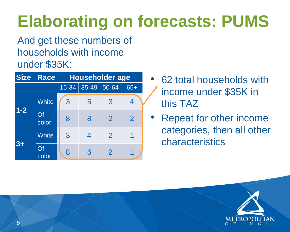

## **Elaborating on forecasts: PUMS**

And get these numbers of households with income under \$35K:

| <b>Size</b> | Race         | <b>Householder age</b> |                  |                |                |  |  |  |
|-------------|--------------|------------------------|------------------|----------------|----------------|--|--|--|
|             |              | $15 - 34$              | 35-49            | 50-64          | $65+$          |  |  |  |
| $1 - 2$     | <b>White</b> | 3                      | 5                | 3              | $\overline{4}$ |  |  |  |
|             | Of<br>color  | 8                      | 8                | $\overline{2}$ | $\overline{2}$ |  |  |  |
| $3+$        | <b>White</b> | 3                      | $\boldsymbol{4}$ | $\overline{2}$ | 1              |  |  |  |
|             | Of<br>color  | 8                      | 6                | $\overline{2}$ |                |  |  |  |

#### • 62 total households with income under \$35K in

### • Repeat for other income categories, then all other



- this TAZ
- characteristics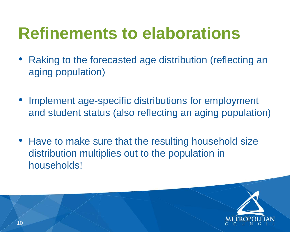

- Raking to the forecasted age distribution (reflecting an aging population)
- Implement age-specific distributions for employment and student status (also reflecting an aging population)
- Have to make sure that the resulting household size distribution multiplies out to the population in households!

# **Refinements to elaborations**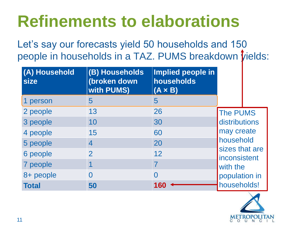**P** in

Let's say our forecasts yield 50 households and 150 people in households in a TAZ. PUMS breakdown *Vields*:

### **Refinements to elaborations**

| (A) Household<br>size | (B) Households<br>(broken down<br><b>with PUMS)</b> | <b>Implied people</b><br>households<br>$(A \times B)$ |
|-----------------------|-----------------------------------------------------|-------------------------------------------------------|
| 1 person              | 5                                                   | 5                                                     |
| 2 people              | 13                                                  | 26                                                    |
| 3 people              | 10                                                  | 30                                                    |
| 4 people              | 15                                                  | 60                                                    |
| 5 people              | 4                                                   | 20                                                    |
| 6 people              | $\overline{2}$                                      | 12                                                    |
| 7 people              |                                                     |                                                       |
| 8+ people             | $\blacksquare$                                      |                                                       |
| <b>Total</b>          | 50                                                  | 160                                                   |

The PUMS distributions may create household sizes that are inconsistent with the population in **160** households!

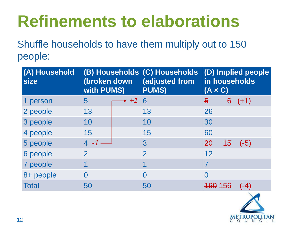# **Refinements to elaborations**

Shuffle households to have them multiply out to 150 people:

# **(D) Implied people in households (A × C)** <del>160</del> 156 (-4)

ME I ROPOLI IAN

| (A) Household<br>size | (broken down<br><b>with PUMS)</b> | (B) Households (C) Households<br><b>adjusted from</b><br><b>PUMS)</b> | $ $ (D) Implied possible<br>in household<br>$(A \times C)$ |    |        |
|-----------------------|-----------------------------------|-----------------------------------------------------------------------|------------------------------------------------------------|----|--------|
| 1 person              | 5                                 | 6                                                                     | $\overline{\Theta}$                                        | 6  | $(+1)$ |
| 2 people              | 13                                | 13                                                                    | 26                                                         |    |        |
| 3 people              | 10                                | 10                                                                    | 30                                                         |    |        |
| 4 people              | 15                                | 15                                                                    | 60                                                         |    |        |
| 5 people              |                                   | 3                                                                     | 20                                                         | 15 | $(-5)$ |
| 6 people              |                                   | $\mathbf 2$                                                           | 12                                                         |    |        |
| 7 people              |                                   |                                                                       |                                                            |    |        |
| 8+ people             |                                   |                                                                       |                                                            |    |        |
| <b>Total</b>          | 50                                | 50                                                                    | <b>160 156</b>                                             |    | $(-4)$ |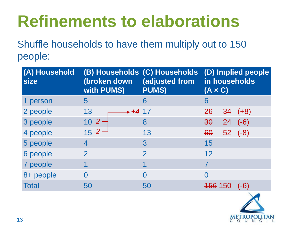### **(D) Implied people in households (A × C)**  $26$  34 (+8)  $30 \t 24 \t (-6)$ 60 52 (-8) 156 150 (-6) ETROPOLITAN

| (A) Household<br>size | <b>(B) Households (C) Households</b><br>(broken down<br><b>with PUMS)</b> | <b>adjusted from</b><br><b>PUMS)</b> | (D)<br>in<br><b>(A)</b> |
|-----------------------|---------------------------------------------------------------------------|--------------------------------------|-------------------------|
| 1 person              | 5                                                                         | 6                                    | 6                       |
| 2 people              | $+417$<br>13                                                              |                                      | 26                      |
| 3 people              | $10 - 2$                                                                  | 8                                    | 30                      |
| 4 people              | $15 - 2$                                                                  | 13                                   | 60                      |
| 5 people              | 4                                                                         | $3\overline{3}$                      | 15                      |
| 6 people              |                                                                           | $\overline{2}$                       | 12                      |
| 7 people              |                                                                           |                                      |                         |
| 8+ people             |                                                                           |                                      |                         |
| <b>Total</b>          | 50                                                                        | 50                                   |                         |

# **Refinements to elaborations**

Shuffle households to have them multiply out to 150 people: